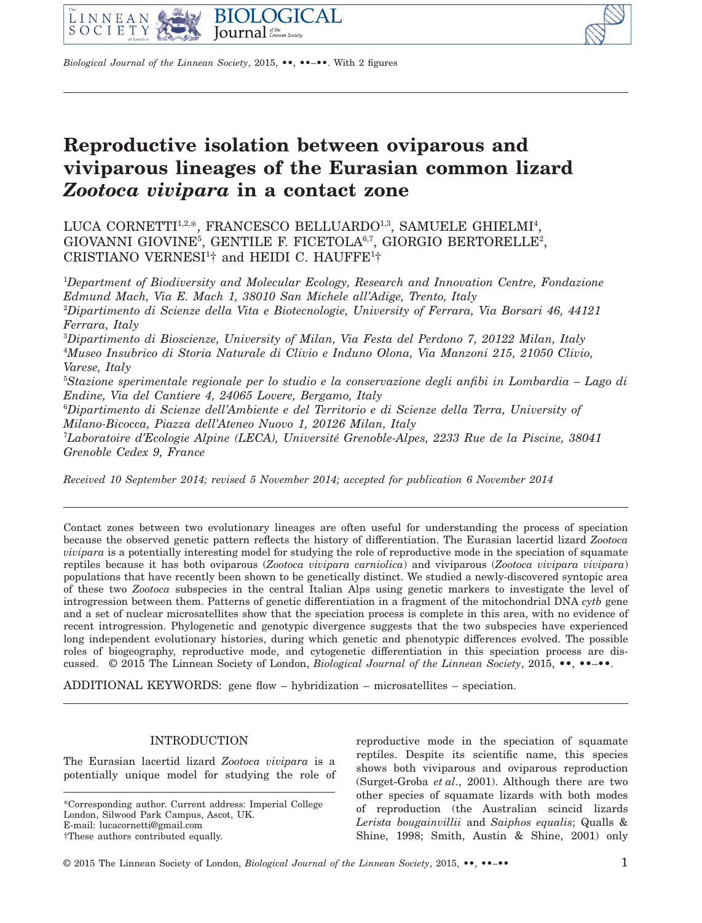



*Biological Journal of the Linnean Society*, 2015, **••**, ••–••. With 2 figures

# **Reproductive isolation between oviparous and viviparous lineages of the Eurasian common lizard** *Zootoca vivipara* **in a contact zone**

LUCA CORNETTI<sup>1,2,\*</sup>, FRANCESCO BELLUARDO<sup>1,3</sup>, SAMUELE GHIELMI<sup>4</sup>,  $GIOVANNI \ GIOVINE<sup>5</sup>, GENTILE F. FICETOLA<sup>6,7</sup>, GIORGIO BERTORELLE<sup>2</sup>,$ CRISTIANO VERNESI<sup>1</sup>† and HEIDI C. HAUFFE<sup>1</sup>†

1 *Department of Biodiversity and Molecular Ecology, Research and Innovation Centre, Fondazione Edmund Mach, Via E. Mach 1, 38010 San Michele all'Adige, Trento, Italy* 2 *Dipartimento di Scienze della Vita e Biotecnologie, University of Ferrara, Via Borsari 46, 44121 Ferrara, Italy* 3 *Dipartimento di Bioscienze, University of Milan, Via Festa del Perdono 7, 20122 Milan, Italy* 4 *Museo Insubrico di Storia Naturale di Clivio e Induno Olona, Via Manzoni 215, 21050 Clivio, Varese, Italy* 5 *Stazione sperimentale regionale per lo studio e la conservazione degli anfibi in Lombardia – Lago di Endine, Via del Cantiere 4, 24065 Lovere, Bergamo, Italy* 6 *Dipartimento di Scienze dell'Ambiente e del Territorio e di Scienze della Terra, University of Milano-Bicocca, Piazza dell'Ateneo Nuovo 1, 20126 Milan, Italy* 7 *Laboratoire d'Ecologie Alpine (LECA), Université Grenoble-Alpes, 2233 Rue de la Piscine, 38041 Grenoble Cedex 9, France*

*Received 10 September 2014; revised 5 November 2014; accepted for publication 6 November 2014*

Contact zones between two evolutionary lineages are often useful for understanding the process of speciation because the observed genetic pattern reflects the history of differentiation. The Eurasian lacertid lizard *Zootoca vivipara* is a potentially interesting model for studying the role of reproductive mode in the speciation of squamate reptiles because it has both oviparous (*Zootoca vivipara carniolica*) and viviparous (*Zootoca vivipara vivipara*) populations that have recently been shown to be genetically distinct. We studied a newly-discovered syntopic area of these two *Zootoca* subspecies in the central Italian Alps using genetic markers to investigate the level of introgression between them. Patterns of genetic differentiation in a fragment of the mitochondrial DNA *cytb* gene and a set of nuclear microsatellites show that the speciation process is complete in this area, with no evidence of recent introgression. Phylogenetic and genotypic divergence suggests that the two subspecies have experienced long independent evolutionary histories, during which genetic and phenotypic differences evolved. The possible roles of biogeography, reproductive mode, and cytogenetic differentiation in this speciation process are discussed. © 2015 The Linnean Society of London, *Biological Journal of the Linnean Society*, 2015, **••**, ••–••.

ADDITIONAL KEYWORDS: gene flow – hybridization – microsatellites – speciation.

## INTRODUCTION

The Eurasian lacertid lizard *Zootoca vivipara* is a potentially unique model for studying the role of reproductive mode in the speciation of squamate reptiles. Despite its scientific name, this species shows both viviparous and oviparous reproduction (Surget-Groba *et al*., 2001). Although there are two other species of squamate lizards with both modes of reproduction (the Australian scincid lizards *Lerista bougainvillii* and *Saiphos equalis*; Qualls & Shine, 1998; Smith, Austin & Shine, 2001) only

<sup>\*</sup>Corresponding author. Current address: Imperial College London, Silwood Park Campus, Ascot, UK. E-mail: [lucacornetti@gmail.com](mailto:lucacornetti@gmail.com)

<sup>†</sup>These authors contributed equally.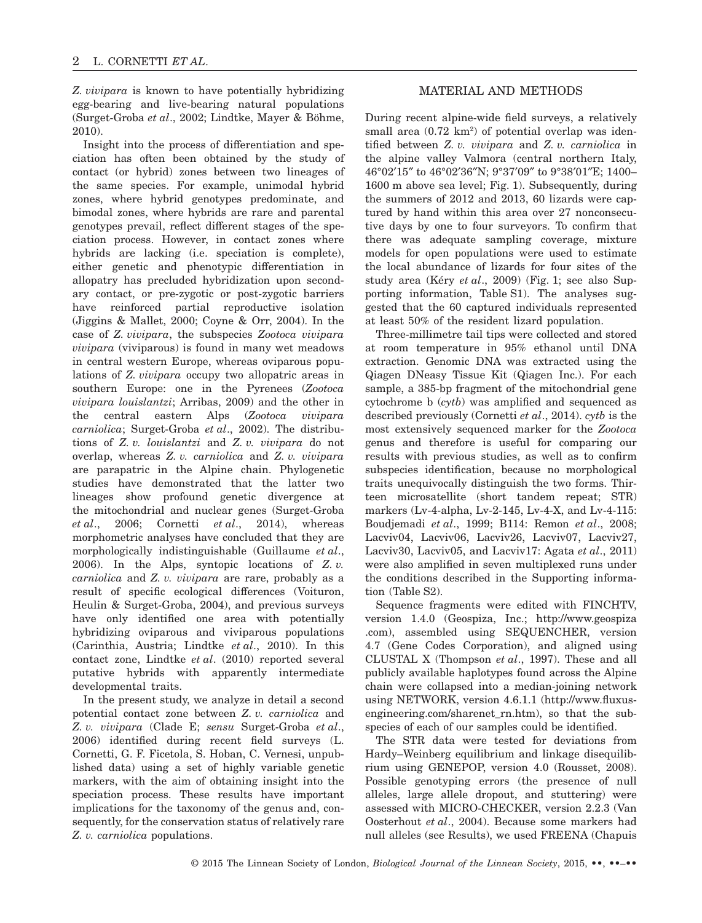*Z. vivipara* is known to have potentially hybridizing egg-bearing and live-bearing natural populations (Surget-Groba *et al*., 2002; Lindtke, Mayer & Böhme, 2010).

Insight into the process of differentiation and speciation has often been obtained by the study of contact (or hybrid) zones between two lineages of the same species. For example, unimodal hybrid zones, where hybrid genotypes predominate, and bimodal zones, where hybrids are rare and parental genotypes prevail, reflect different stages of the speciation process. However, in contact zones where hybrids are lacking (i.e. speciation is complete), either genetic and phenotypic differentiation in allopatry has precluded hybridization upon secondary contact, or pre-zygotic or post-zygotic barriers have reinforced partial reproductive isolation (Jiggins & Mallet, 2000; Coyne & Orr, 2004). In the case of *Z. vivipara*, the subspecies *Zootoca vivipara vivipara* (viviparous) is found in many wet meadows in central western Europe, whereas oviparous populations of *Z. vivipara* occupy two allopatric areas in southern Europe: one in the Pyrenees (*Zootoca vivipara louislantzi*; Arribas, 2009) and the other in the central eastern Alps (*Zootoca vivipara carniolica*; Surget-Groba *et al*., 2002). The distributions of *Z. v. louislantzi* and *Z. v. vivipara* do not overlap, whereas *Z. v. carniolica* and *Z. v. vivipara* are parapatric in the Alpine chain. Phylogenetic studies have demonstrated that the latter two lineages show profound genetic divergence at the mitochondrial and nuclear genes (Surget-Groba *et al*., 2006; Cornetti *et al*., 2014), whereas morphometric analyses have concluded that they are morphologically indistinguishable (Guillaume *et al*., 2006). In the Alps, syntopic locations of *Z. v. carniolica* and *Z. v. vivipara* are rare, probably as a result of specific ecological differences (Voituron, Heulin & Surget-Groba, 2004), and previous surveys have only identified one area with potentially hybridizing oviparous and viviparous populations (Carinthia, Austria; Lindtke *et al*., 2010). In this contact zone, Lindtke *et al*. (2010) reported several putative hybrids with apparently intermediate developmental traits.

In the present study, we analyze in detail a second potential contact zone between *Z. v. carniolica* and *Z. v. vivipara* (Clade E; *sensu* Surget-Groba *et al*., 2006) identified during recent field surveys (L. Cornetti, G. F. Ficetola, S. Hoban, C. Vernesi, unpublished data) using a set of highly variable genetic markers, with the aim of obtaining insight into the speciation process. These results have important implications for the taxonomy of the genus and, consequently, for the conservation status of relatively rare *Z. v. carniolica* populations.

### MATERIAL AND METHODS

During recent alpine-wide field surveys, a relatively small area  $(0.72 \text{ km}^2)$  of potential overlap was identified between *Z. v. vivipara* and *Z. v. carniolica* in the alpine valley Valmora (central northern Italy, 46°02′15″ to 46°02′36″N; 9°37′09″ to 9°38′01″E; 1400– 1600 m above sea level; Fig. 1). Subsequently, during the summers of 2012 and 2013, 60 lizards were captured by hand within this area over 27 nonconsecutive days by one to four surveyors. To confirm that there was adequate sampling coverage, mixture models for open populations were used to estimate the local abundance of lizards for four sites of the study area (Kéry *et al*., 2009) (Fig. 1; see also Supporting information, Table S1). The analyses suggested that the 60 captured individuals represented at least 50% of the resident lizard population.

Three-millimetre tail tips were collected and stored at room temperature in 95% ethanol until DNA extraction. Genomic DNA was extracted using the Qiagen DNeasy Tissue Kit (Qiagen Inc.). For each sample, a 385-bp fragment of the mitochondrial gene cytochrome b (*cytb*) was amplified and sequenced as described previously (Cornetti *et al*., 2014). *cytb* is the most extensively sequenced marker for the *Zootoca* genus and therefore is useful for comparing our results with previous studies, as well as to confirm subspecies identification, because no morphological traits unequivocally distinguish the two forms. Thirteen microsatellite (short tandem repeat; STR) markers (Lv-4-alpha, Lv-2-145, Lv-4-X, and Lv-4-115: Boudjemadi *et al*., 1999; B114: Remon *et al*., 2008; Lacviv04, Lacviv06, Lacviv26, Lacviv07, Lacviv27, Lacviv30, Lacviv05, and Lacviv17: Agata *et al*., 2011) were also amplified in seven multiplexed runs under the conditions described in the Supporting information (Table S2).

Sequence fragments were edited with FINCHTV, version 1.4.0 (Geospiza, Inc.; [http://www.geospiza](http://www.geospiza.com) [.com\)](http://www.geospiza.com), assembled using SEQUENCHER, version 4.7 (Gene Codes Corporation), and aligned using CLUSTAL X (Thompson *et al*., 1997). These and all publicly available haplotypes found across the Alpine chain were collapsed into a median-joining network using NETWORK, version 4.6.1.1 [\(http://www.fluxus](http://www.fluxus-engineering.com/sharenet_rn.htm)[engineering.com/sharenet\\_rn.htm\)](http://www.fluxus-engineering.com/sharenet_rn.htm), so that the subspecies of each of our samples could be identified.

The STR data were tested for deviations from Hardy–Weinberg equilibrium and linkage disequilibrium using GENEPOP, version 4.0 (Rousset, 2008). Possible genotyping errors (the presence of null alleles, large allele dropout, and stuttering) were assessed with MICRO-CHECKER, version 2.2.3 (Van Oosterhout *et al*., 2004). Because some markers had null alleles (see Results), we used FREENA (Chapuis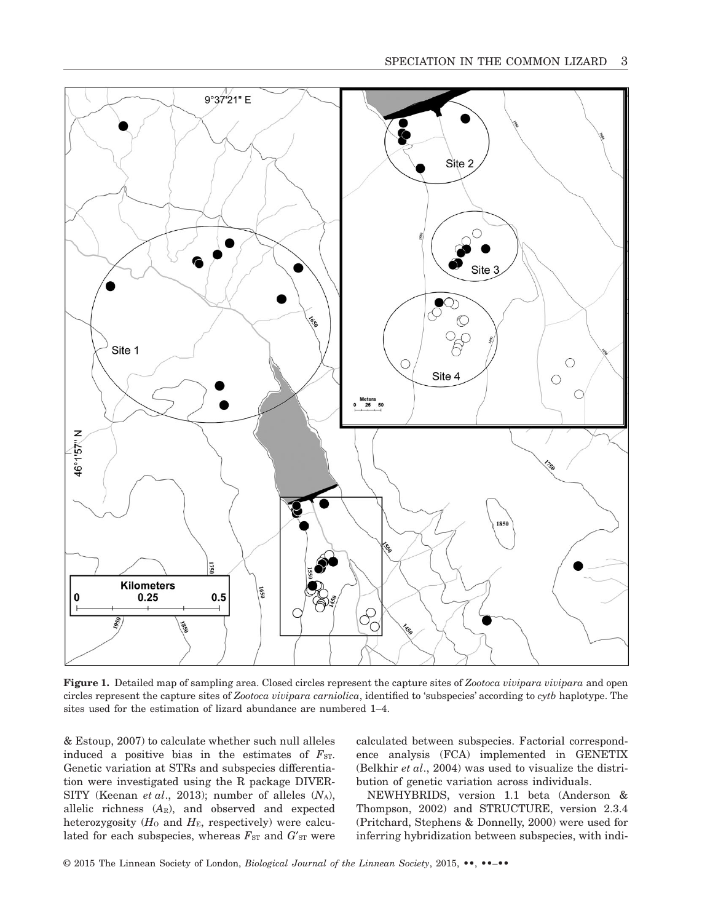

**Figure 1.** Detailed map of sampling area. Closed circles represent the capture sites of *Zootoca vivipara vivipara* and open circles represent the capture sites of *Zootoca vivipara carniolica*, identified to 'subspecies' according to *cytb* haplotype. The sites used for the estimation of lizard abundance are numbered 1–4.

& Estoup, 2007) to calculate whether such null alleles induced a positive bias in the estimates of  $F_{ST}$ . Genetic variation at STRs and subspecies differentiation were investigated using the R package DIVER-SITY (Keenan *et al.*, 2013); number of alleles  $(N_A)$ , allelic richness (*A*R), and observed and expected heterozygosity  $(H_0$  and  $H_E$ , respectively) were calculated for each subspecies, whereas  $F_{ST}$  and  $G'_{ST}$  were calculated between subspecies. Factorial correspondence analysis (FCA) implemented in GENETIX (Belkhir *et al*., 2004) was used to visualize the distribution of genetic variation across individuals.

NEWHYBRIDS, version 1.1 beta (Anderson & Thompson, 2002) and STRUCTURE, version 2.3.4 (Pritchard, Stephens & Donnelly, 2000) were used for inferring hybridization between subspecies, with indi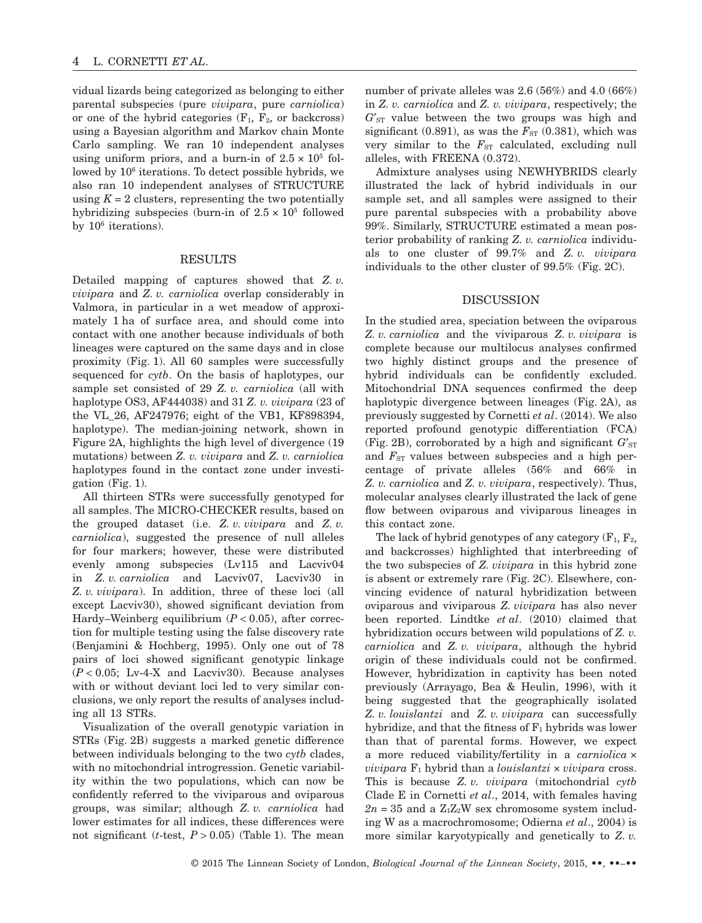vidual lizards being categorized as belonging to either parental subspecies (pure *vivipara*, pure *carniolica*) or one of the hybrid categories  $(F_1, F_2, \text{or backcross})$ using a Bayesian algorithm and Markov chain Monte Carlo sampling. We ran 10 independent analyses using uniform priors, and a burn-in of  $2.5 \times 10^5$  followed by  $10^6$  iterations. To detect possible hybrids, we also ran 10 independent analyses of STRUCTURE using  $K = 2$  clusters, representing the two potentially hybridizing subspecies (burn-in of  $2.5 \times 10^5$  followed by 106 iterations).

#### RESULTS

Detailed mapping of captures showed that *Z. v. vivipara* and *Z. v. carniolica* overlap considerably in Valmora, in particular in a wet meadow of approximately 1 ha of surface area, and should come into contact with one another because individuals of both lineages were captured on the same days and in close proximity (Fig. 1). All 60 samples were successfully sequenced for *cytb*. On the basis of haplotypes, our sample set consisted of 29 *Z. v. carniolica* (all with haplotype OS3, AF444038) and 31 *Z. v. vivipara* (23 of the VL\_26, AF247976; eight of the VB1, KF898394, haplotype). The median-joining network, shown in Figure 2A, highlights the high level of divergence (19 mutations) between *Z. v. vivipara* and *Z. v. carniolica* haplotypes found in the contact zone under investigation (Fig. 1).

All thirteen STRs were successfully genotyped for all samples. The MICRO-CHECKER results, based on the grouped dataset (i.e. *Z. v. vivipara* and *Z. v. carniolica*), suggested the presence of null alleles for four markers; however, these were distributed evenly among subspecies (Lv115 and Lacviv04 in *Z. v. carniolica* and Lacviv07, Lacviv30 in *Z. v. vivipara*). In addition, three of these loci (all except Lacviv30), showed significant deviation from Hardy–Weinberg equilibrium  $(P < 0.05)$ , after correction for multiple testing using the false discovery rate (Benjamini & Hochberg, 1995). Only one out of 78 pairs of loci showed significant genotypic linkage  $(P < 0.05$ ; Lv-4-X and Lacviv30). Because analyses with or without deviant loci led to very similar conclusions, we only report the results of analyses including all 13 STRs.

Visualization of the overall genotypic variation in STRs (Fig. 2B) suggests a marked genetic difference between individuals belonging to the two *cytb* clades, with no mitochondrial introgression. Genetic variability within the two populations, which can now be confidently referred to the viviparous and oviparous groups, was similar; although *Z. v. carniolica* had lower estimates for all indices, these differences were not significant  $(t$ -test,  $P > 0.05$  (Table 1). The mean

number of private alleles was 2.6 (56%) and 4.0 (66%) in *Z. v. carniolica* and *Z. v. vivipara*, respectively; the  $G'_{ST}$  value between the two groups was high and significant (0.891), as was the  $F_{ST}$  (0.381), which was very similar to the  $F_{ST}$  calculated, excluding null alleles, with FREENA (0.372).

Admixture analyses using NEWHYBRIDS clearly illustrated the lack of hybrid individuals in our sample set, and all samples were assigned to their pure parental subspecies with a probability above 99%. Similarly, STRUCTURE estimated a mean posterior probability of ranking *Z. v. carniolica* individuals to one cluster of 99.7% and *Z. v. vivipara* individuals to the other cluster of 99.5% (Fig. 2C).

#### DISCUSSION

In the studied area, speciation between the oviparous *Z. v. carniolica* and the viviparous *Z. v. vivipara* is complete because our multilocus analyses confirmed two highly distinct groups and the presence of hybrid individuals can be confidently excluded. Mitochondrial DNA sequences confirmed the deep haplotypic divergence between lineages (Fig. 2A), as previously suggested by Cornetti *et al*. (2014). We also reported profound genotypic differentiation (FCA) (Fig. 2B), corroborated by a high and significant  $G'_{ST}$ and  $F_{ST}$  values between subspecies and a high percentage of private alleles (56% and 66% in *Z. v. carniolica* and *Z. v. vivipara*, respectively). Thus, molecular analyses clearly illustrated the lack of gene flow between oviparous and viviparous lineages in this contact zone.

The lack of hybrid genotypes of any category  $(F_1, F_2,$ and backcrosses) highlighted that interbreeding of the two subspecies of *Z. vivipara* in this hybrid zone is absent or extremely rare (Fig. 2C). Elsewhere, convincing evidence of natural hybridization between oviparous and viviparous *Z. vivipara* has also never been reported. Lindtke *et al*. (2010) claimed that hybridization occurs between wild populations of *Z. v. carniolica* and *Z. v. vivipara*, although the hybrid origin of these individuals could not be confirmed. However, hybridization in captivity has been noted previously (Arrayago, Bea & Heulin, 1996), with it being suggested that the geographically isolated *Z. v. louislantzi* and *Z. v. vivipara* can successfully hybridize, and that the fitness of  $F_1$  hybrids was lower than that of parental forms. However, we expect a more reduced viability/fertility in a *carniolica* ×  $$ This is because *Z. v. vivipara* (mitochondrial *cytb* Clade E in Cornetti *et al*., 2014, with females having  $2n = 35$  and a  $Z_1Z_2W$  sex chromosome system including W as a macrochromosome; Odierna *et al*., 2004) is more similar karyotypically and genetically to *Z. v.*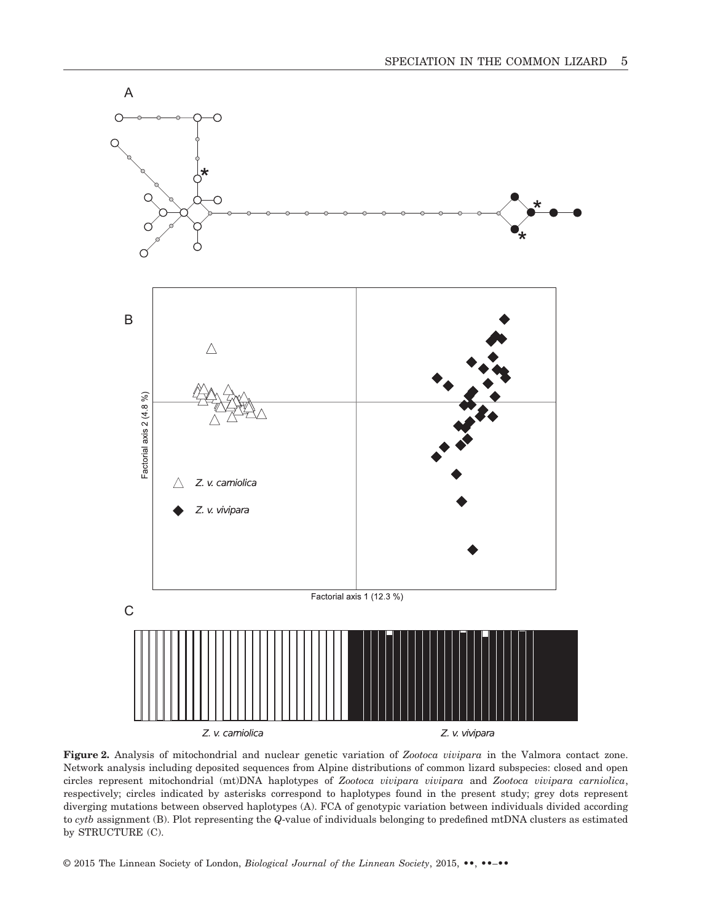

**Figure 2.** Analysis of mitochondrial and nuclear genetic variation of *Zootoca vivipara* in the Valmora contact zone. Network analysis including deposited sequences from Alpine distributions of common lizard subspecies: closed and open circles represent mitochondrial (mt)DNA haplotypes of *Zootoca vivipara vivipara* and *Zootoca vivipara carniolica*, respectively; circles indicated by asterisks correspond to haplotypes found in the present study; grey dots represent diverging mutations between observed haplotypes (A). FCA of genotypic variation between individuals divided according to *cytb* assignment (B). Plot representing the *Q*-value of individuals belonging to predefined mtDNA clusters as estimated by STRUCTURE (C).

© 2015 The Linnean Society of London, *Biological Journal of the Linnean Society*, 2015, **••**, ••–••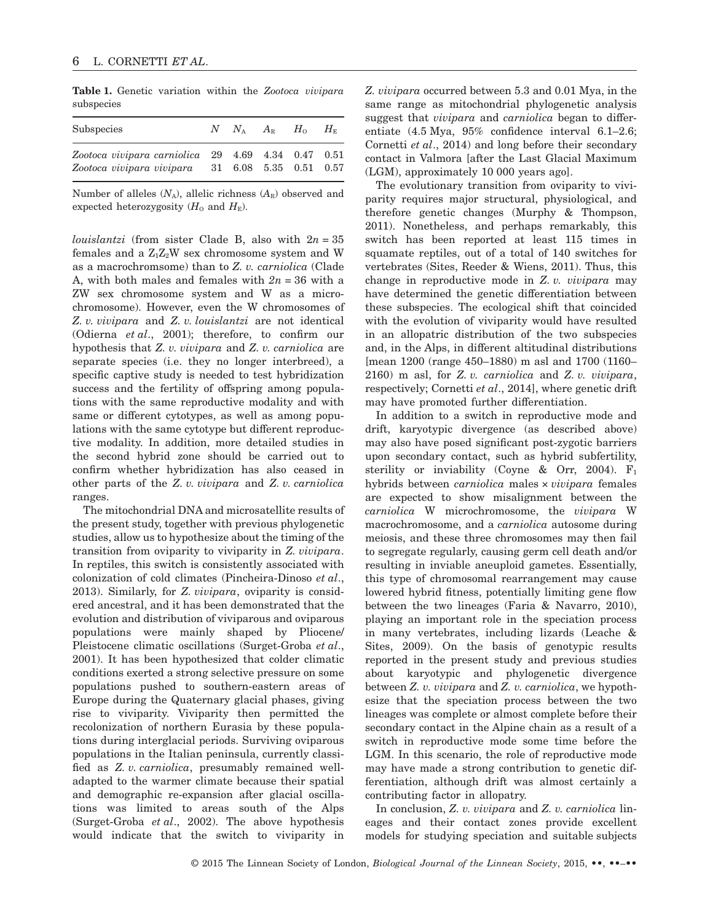**Table 1.** Genetic variation within the *Zootoca vivipara* subspecies

| Subspecies                                                                                                 |  | $N$ $N_{\rm A}$ $A_{\rm B}$ $H_{\rm O}$ | $H_{\scriptscriptstyle\rm E}$ |
|------------------------------------------------------------------------------------------------------------|--|-----------------------------------------|-------------------------------|
| $Zootoca vivipara carniolica$ 29 4.69 4.34 0.47 0.51<br>$Zootoca vivipara vivipara$ 31 6.08 5.35 0.51 0.57 |  |                                         |                               |

Number of alleles  $(N_A)$ , allelic richness  $(A_R)$  observed and expected heterozygosity  $(H_0 \text{ and } H_{\text{E}})$ .

*louislantzi* (from sister Clade B, also with 2*n* = 35 females and a  $Z_1Z_2W$  sex chromosome system and W as a macrochromsome) than to *Z. v. carniolica* (Clade A, with both males and females with  $2n = 36$  with a ZW sex chromosome system and W as a microchromosome). However, even the W chromosomes of *Z. v. vivipara* and *Z. v. louislantzi* are not identical (Odierna *et al*., 2001); therefore, to confirm our hypothesis that *Z. v. vivipara* and *Z. v. carniolica* are separate species (i.e. they no longer interbreed), a specific captive study is needed to test hybridization success and the fertility of offspring among populations with the same reproductive modality and with same or different cytotypes, as well as among populations with the same cytotype but different reproductive modality. In addition, more detailed studies in the second hybrid zone should be carried out to confirm whether hybridization has also ceased in other parts of the *Z. v. vivipara* and *Z. v. carniolica* ranges.

The mitochondrial DNA and microsatellite results of the present study, together with previous phylogenetic studies, allow us to hypothesize about the timing of the transition from oviparity to viviparity in *Z. vivipara*. In reptiles, this switch is consistently associated with colonization of cold climates (Pincheira-Dinoso *et al*., 2013). Similarly, for *Z. vivipara*, oviparity is considered ancestral, and it has been demonstrated that the evolution and distribution of viviparous and oviparous populations were mainly shaped by Pliocene/ Pleistocene climatic oscillations (Surget-Groba *et al*., 2001). It has been hypothesized that colder climatic conditions exerted a strong selective pressure on some populations pushed to southern-eastern areas of Europe during the Quaternary glacial phases, giving rise to viviparity. Viviparity then permitted the recolonization of northern Eurasia by these populations during interglacial periods. Surviving oviparous populations in the Italian peninsula, currently classified as *Z. v. carniolica*, presumably remained welladapted to the warmer climate because their spatial and demographic re-expansion after glacial oscillations was limited to areas south of the Alps (Surget-Groba *et al*., 2002). The above hypothesis would indicate that the switch to viviparity in

*Z. vivipara* occurred between 5.3 and 0.01 Mya, in the same range as mitochondrial phylogenetic analysis suggest that *vivipara* and *carniolica* began to differentiate (4.5 Mya, 95% confidence interval 6.1–2.6; Cornetti *et al*., 2014) and long before their secondary contact in Valmora [after the Last Glacial Maximum (LGM), approximately 10 000 years ago].

The evolutionary transition from oviparity to viviparity requires major structural, physiological, and therefore genetic changes (Murphy & Thompson, 2011). Nonetheless, and perhaps remarkably, this switch has been reported at least 115 times in squamate reptiles, out of a total of 140 switches for vertebrates (Sites, Reeder & Wiens, 2011). Thus, this change in reproductive mode in *Z. v. vivipara* may have determined the genetic differentiation between these subspecies. The ecological shift that coincided with the evolution of viviparity would have resulted in an allopatric distribution of the two subspecies and, in the Alps, in different altitudinal distributions [mean 1200 (range 450–1880) m asl and 1700 (1160– 2160) m asl, for *Z. v. carniolica* and *Z. v. vivipara*, respectively; Cornetti *et al*., 2014], where genetic drift may have promoted further differentiation.

In addition to a switch in reproductive mode and drift, karyotypic divergence (as described above) may also have posed significant post-zygotic barriers upon secondary contact, such as hybrid subfertility, sterility or inviability (Coyne & Orr, 2004).  $F_1$ hybrids between *carniolica* males × *vivipara* females are expected to show misalignment between the *carniolica* W microchromosome, the *vivipara* W macrochromosome, and a *carniolica* autosome during meiosis, and these three chromosomes may then fail to segregate regularly, causing germ cell death and/or resulting in inviable aneuploid gametes. Essentially, this type of chromosomal rearrangement may cause lowered hybrid fitness, potentially limiting gene flow between the two lineages (Faria & Navarro, 2010), playing an important role in the speciation process in many vertebrates, including lizards (Leache & Sites, 2009). On the basis of genotypic results reported in the present study and previous studies about karyotypic and phylogenetic divergence between *Z. v. vivipara* and *Z. v. carniolica*, we hypothesize that the speciation process between the two lineages was complete or almost complete before their secondary contact in the Alpine chain as a result of a switch in reproductive mode some time before the LGM. In this scenario, the role of reproductive mode may have made a strong contribution to genetic differentiation, although drift was almost certainly a contributing factor in allopatry.

In conclusion, *Z. v. vivipara* and *Z. v. carniolica* lineages and their contact zones provide excellent models for studying speciation and suitable subjects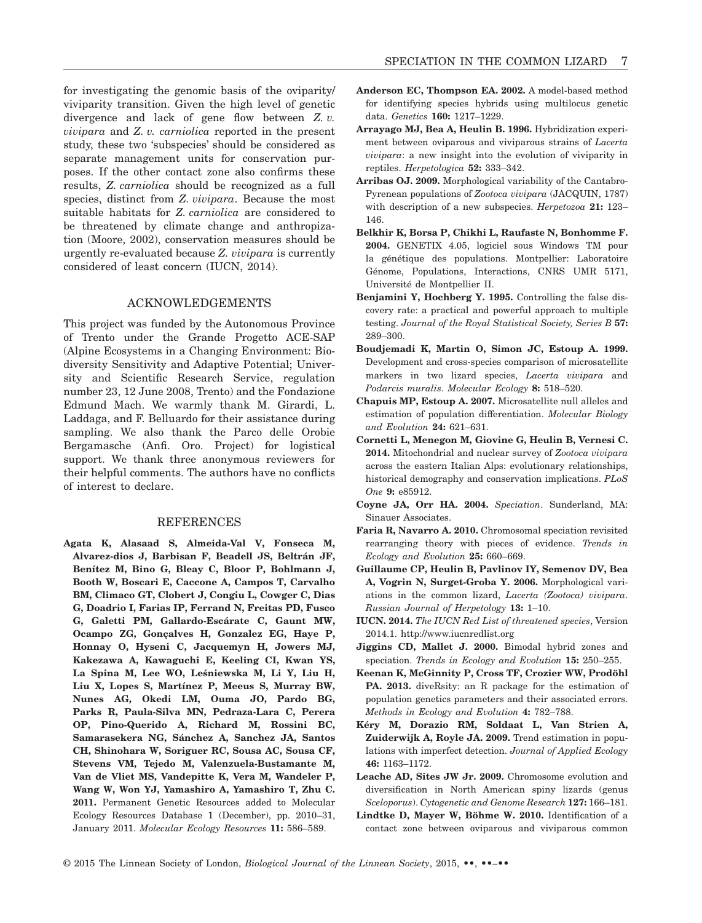for investigating the genomic basis of the oviparity/ viviparity transition. Given the high level of genetic divergence and lack of gene flow between *Z. v. vivipara* and *Z. v. carniolica* reported in the present study, these two 'subspecies' should be considered as separate management units for conservation purposes. If the other contact zone also confirms these results, *Z. carniolica* should be recognized as a full species, distinct from *Z. vivipara*. Because the most suitable habitats for *Z. carniolica* are considered to be threatened by climate change and anthropization (Moore, 2002), conservation measures should be urgently re-evaluated because *Z. vivipara* is currently considered of least concern (IUCN, 2014).

### ACKNOWLEDGEMENTS

This project was funded by the Autonomous Province of Trento under the Grande Progetto ACE-SAP (Alpine Ecosystems in a Changing Environment: Biodiversity Sensitivity and Adaptive Potential; University and Scientific Research Service, regulation number 23, 12 June 2008, Trento) and the Fondazione Edmund Mach. We warmly thank M. Girardi, L. Laddaga, and F. Belluardo for their assistance during sampling. We also thank the Parco delle Orobie Bergamasche (Anfi. Oro. Project) for logistical support. We thank three anonymous reviewers for their helpful comments. The authors have no conflicts of interest to declare.

#### REFERENCES

**Agata K, Alasaad S, Almeida-Val V, Fonseca M, Alvarez-dios J, Barbisan F, Beadell JS, Beltrán JF, Benítez M, Bino G, Bleay C, Bloor P, Bohlmann J, Booth W, Boscari E, Caccone A, Campos T, Carvalho BM, Climaco GT, Clobert J, Congiu L, Cowger C, Dias G, Doadrio I, Farias IP, Ferrand N, Freitas PD, Fusco G, Galetti PM, Gallardo-Escárate C, Gaunt MW, Ocampo ZG, Gonçalves H, Gonzalez EG, Haye P, Honnay O, Hyseni C, Jacquemyn H, Jowers MJ, Kakezawa A, Kawaguchi E, Keeling CI, Kwan YS, La Spina M, Lee WO, Les´niewska M, Li Y, Liu H, Liu X, Lopes S, Martínez P, Meeus S, Murray BW, Nunes AG, Okedi LM, Ouma JO, Pardo BG, Parks R, Paula-Silva MN, Pedraza-Lara C, Perera OP, Pino-Querido A, Richard M, Rossini BC, Samarasekera NG, Sánchez A, Sanchez JA, Santos CH, Shinohara W, Soriguer RC, Sousa AC, Sousa CF, Stevens VM, Tejedo M, Valenzuela-Bustamante M, Van de Vliet MS, Vandepitte K, Vera M, Wandeler P, Wang W, Won YJ, Yamashiro A, Yamashiro T, Zhu C. 2011.** Permanent Genetic Resources added to Molecular Ecology Resources Database 1 (December), pp. 2010–31, January 2011. *Molecular Ecology Resources* **11:** 586–589.

- **Anderson EC, Thompson EA. 2002.** A model-based method for identifying species hybrids using multilocus genetic data. *Genetics* **160:** 1217–1229.
- **Arrayago MJ, Bea A, Heulin B. 1996.** Hybridization experiment between oviparous and viviparous strains of *Lacerta vivipara*: a new insight into the evolution of viviparity in reptiles. *Herpetologica* **52:** 333–342.
- **Arribas OJ. 2009.** Morphological variability of the Cantabro-Pyrenean populations of *Zootoca vivipara* (JACQUIN, 1787) with description of a new subspecies. *Herpetozoa* **21:** 123– 146.
- **Belkhir K, Borsa P, Chikhi L, Raufaste N, Bonhomme F. 2004.** GENETIX 4.05, logiciel sous Windows TM pour la génétique des populations. Montpellier: Laboratoire Génome, Populations, Interactions, CNRS UMR 5171, Université de Montpellier II.
- **Benjamini Y, Hochberg Y. 1995.** Controlling the false discovery rate: a practical and powerful approach to multiple testing. *Journal of the Royal Statistical Society, Series B* **57:** 289–300.
- **Boudjemadi K, Martin O, Simon JC, Estoup A. 1999.** Development and cross-species comparison of microsatellite markers in two lizard species, *Lacerta vivipara* and *Podarcis muralis*. *Molecular Ecology* **8:** 518–520.
- **Chapuis MP, Estoup A. 2007.** Microsatellite null alleles and estimation of population differentiation. *Molecular Biology and Evolution* **24:** 621–631.
- **Cornetti L, Menegon M, Giovine G, Heulin B, Vernesi C. 2014.** Mitochondrial and nuclear survey of *Zootoca vivipara* across the eastern Italian Alps: evolutionary relationships, historical demography and conservation implications. *PLoS One* **9:** e85912.
- **Coyne JA, Orr HA. 2004.** *Speciation*. Sunderland, MA: Sinauer Associates.
- **Faria R, Navarro A. 2010.** Chromosomal speciation revisited rearranging theory with pieces of evidence. *Trends in Ecology and Evolution* **25:** 660–669.
- **Guillaume CP, Heulin B, Pavlinov IY, Semenov DV, Bea A, Vogrin N, Surget-Groba Y. 2006.** Morphological variations in the common lizard, *Lacerta (Zootoca) vivipara*. *Russian Journal of Herpetology* **13:** 1–10.
- **IUCN. 2014.** *The IUCN Red List of threatened species*, Version 2014.1.<http://www.iucnredlist.org>
- **Jiggins CD, Mallet J. 2000.** Bimodal hybrid zones and speciation. *Trends in Ecology and Evolution* **15:** 250–255.
- **Keenan K, McGinnity P, Cross TF, Crozier WW, Prodöhl PA. 2013.** diveRsity: an R package for the estimation of population genetics parameters and their associated errors. *Methods in Ecology and Evolution* **4:** 782–788.
- **Kéry M, Dorazio RM, Soldaat L, Van Strien A, Zuiderwijk A, Royle JA. 2009.** Trend estimation in populations with imperfect detection. *Journal of Applied Ecology* **46:** 1163–1172.
- **Leache AD, Sites JW Jr. 2009.** Chromosome evolution and diversification in North American spiny lizards (genus *Sceloporus*). *Cytogenetic and Genome Research* **127:** 166–181.
- **Lindtke D, Mayer W, Böhme W. 2010.** Identification of a contact zone between oviparous and viviparous common